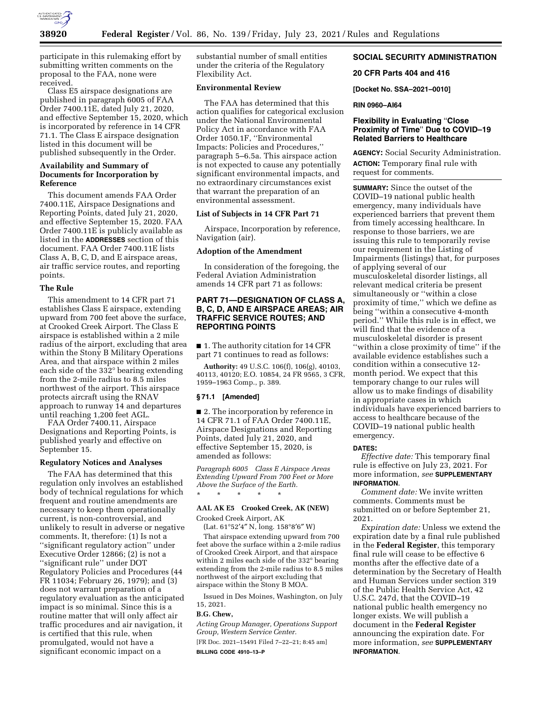

participate in this rulemaking effort by submitting written comments on the proposal to the FAA, none were received.

Class E5 airspace designations are published in paragraph 6005 of FAA Order 7400.11E, dated July 21, 2020, and effective September 15, 2020, which is incorporated by reference in 14 CFR 71.1. The Class E airspace designation listed in this document will be published subsequently in the Order.

# **Availability and Summary of Documents for Incorporation by Reference**

This document amends FAA Order 7400.11E, Airspace Designations and Reporting Points, dated July 21, 2020, and effective September 15, 2020. FAA Order 7400.11E is publicly available as listed in the **ADDRESSES** section of this document. FAA Order 7400.11E lists Class A, B, C, D, and E airspace areas, air traffic service routes, and reporting points.

# **The Rule**

This amendment to 14 CFR part 71 establishes Class E airspace, extending upward from 700 feet above the surface, at Crooked Creek Airport. The Class E airspace is established within a 2 mile radius of the airport, excluding that area within the Stony B Military Operations Area, and that airspace within 2 miles each side of the 332° bearing extending from the 2-mile radius to 8.5 miles northwest of the airport. This airspace protects aircraft using the RNAV approach to runway 14 and departures until reaching 1,200 feet AGL.

FAA Order 7400.11, Airspace Designations and Reporting Points, is published yearly and effective on September 15.

## **Regulatory Notices and Analyses**

The FAA has determined that this regulation only involves an established body of technical regulations for which frequent and routine amendments are necessary to keep them operationally current, is non-controversial, and unlikely to result in adverse or negative comments. It, therefore: (1) Is not a ''significant regulatory action'' under Executive Order 12866; (2) is not a ''significant rule'' under DOT Regulatory Policies and Procedures (44 FR 11034; February 26, 1979); and (3) does not warrant preparation of a regulatory evaluation as the anticipated impact is so minimal. Since this is a routine matter that will only affect air traffic procedures and air navigation, it is certified that this rule, when promulgated, would not have a significant economic impact on a

substantial number of small entities under the criteria of the Regulatory Flexibility Act.

# **Environmental Review**

The FAA has determined that this action qualifies for categorical exclusion under the National Environmental Policy Act in accordance with FAA Order 1050.1F, ''Environmental Impacts: Policies and Procedures,'' paragraph 5–6.5a. This airspace action is not expected to cause any potentially significant environmental impacts, and no extraordinary circumstances exist that warrant the preparation of an environmental assessment.

## **List of Subjects in 14 CFR Part 71**

Airspace, Incorporation by reference, Navigation (air).

### **Adoption of the Amendment**

In consideration of the foregoing, the Federal Aviation Administration amends 14 CFR part 71 as follows:

## **PART 71—DESIGNATION OF CLASS A, B, C, D, AND E AIRSPACE AREAS; AIR TRAFFIC SERVICE ROUTES; AND REPORTING POINTS**

■ 1. The authority citation for 14 CFR part 71 continues to read as follows:

**Authority:** 49 U.S.C. 106(f), 106(g), 40103, 40113, 40120; E.O. 10854, 24 FR 9565, 3 CFR, 1959–1963 Comp., p. 389.

#### **§ 71.1 [Amended]**

■ 2. The incorporation by reference in 14 CFR 71.1 of FAA Order 7400.11E, Airspace Designations and Reporting Points, dated July 21, 2020, and effective September 15, 2020, is amended as follows:

*Paragraph 6005 Class E Airspace Areas Extending Upward From 700 Feet or More Above the Surface of the Earth.*  \* \* \* \* \*

### **AAL AK E5 Crooked Creek, AK (NEW)**

Crooked Creek Airport, AK

(Lat. 61°52′4″ N, long. 158°8′6″ W)

That airspace extending upward from 700 feet above the surface within a 2-mile radius of Crooked Creek Airport, and that airspace within 2 miles each side of the 332° bearing extending from the 2-mile radius to 8.5 miles northwest of the airport excluding that airspace within the Stony B MOA.

Issued in Des Moines, Washington, on July 15, 2021.

### **B.G. Chew,**

*Acting Group Manager, Operations Support Group, Western Service Center.* 

[FR Doc. 2021–15491 Filed 7–22–21; 8:45 am] **BILLING CODE 4910–13–P** 

# **SOCIAL SECURITY ADMINISTRATION**

#### **20 CFR Parts 404 and 416**

**[Docket No. SSA–2021–0010]** 

## **RIN 0960–AI64**

# **Flexibility in Evaluating** ''**Close Proximity of Time**'' **Due to COVID–19 Related Barriers to Healthcare**

**AGENCY:** Social Security Administration. **ACTION:** Temporary final rule with request for comments.

**SUMMARY:** Since the outset of the COVID–19 national public health emergency, many individuals have experienced barriers that prevent them from timely accessing healthcare. In response to those barriers, we are issuing this rule to temporarily revise our requirement in the Listing of Impairments (listings) that, for purposes of applying several of our musculoskeletal disorder listings, all relevant medical criteria be present simultaneously or ''within a close proximity of time,'' which we define as being ''within a consecutive 4-month period.'' While this rule is in effect, we will find that the evidence of a musculoskeletal disorder is present ''within a close proximity of time'' if the available evidence establishes such a condition within a consecutive 12 month period. We expect that this temporary change to our rules will allow us to make findings of disability in appropriate cases in which individuals have experienced barriers to access to healthcare because of the COVID–19 national public health emergency.

#### **DATES:**

*Effective date:* This temporary final rule is effective on July 23, 2021. For more information, *see* **SUPPLEMENTARY INFORMATION**.

*Comment date:* We invite written comments. Comments must be submitted on or before September 21, 2021.

*Expiration date:* Unless we extend the expiration date by a final rule published in the **Federal Register**, this temporary final rule will cease to be effective 6 months after the effective date of a determination by the Secretary of Health and Human Services under section 319 of the Public Health Service Act, 42 U.S.C. 247d, that the COVID–19 national public health emergency no longer exists. We will publish a document in the **Federal Register**  announcing the expiration date. For more information, *see* **SUPPLEMENTARY INFORMATION**.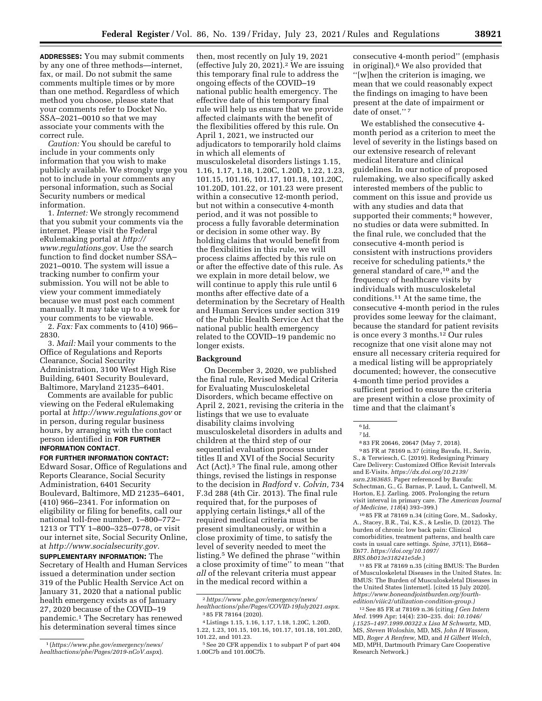**ADDRESSES:** You may submit comments by any one of three methods—internet, fax, or mail. Do not submit the same comments multiple times or by more than one method. Regardless of which method you choose, please state that your comments refer to Docket No. SSA–2021–0010 so that we may associate your comments with the correct rule.

*Caution:* You should be careful to include in your comments only information that you wish to make publicly available. We strongly urge you not to include in your comments any personal information, such as Social Security numbers or medical information.

1. *Internet:* We strongly recommend that you submit your comments via the internet. Please visit the Federal eRulemaking portal at *[http://](http://www.regulations.gov) [www.regulations.gov.](http://www.regulations.gov)* Use the search function to find docket number SSA– 2021–0010. The system will issue a tracking number to confirm your submission. You will not be able to view your comment immediately because we must post each comment manually. It may take up to a week for your comments to be viewable.

2. *Fax:* Fax comments to (410) 966– 2830.

3. *Mail:* Mail your comments to the Office of Regulations and Reports Clearance, Social Security Administration, 3100 West High Rise Building, 6401 Security Boulevard, Baltimore, Maryland 21235–6401.

Comments are available for public viewing on the Federal eRulemaking portal at *<http://www.regulations.gov>* or in person, during regular business hours, by arranging with the contact person identified in **FOR FURTHER INFORMATION CONTACT**.

**FOR FURTHER INFORMATION CONTACT:**  Edward Sosar, Office of Regulations and Reports Clearance, Social Security Administration, 6401 Security Boulevard, Baltimore, MD 21235–6401, (410) 966–2341. For information on eligibility or filing for benefits, call our national toll-free number, 1–800–772– 1213 or TTY 1–800–325–0778, or visit our internet site, Social Security Online, at *[http://www.socialsecurity.gov.](http://www.socialsecurity.gov)*  **SUPPLEMENTARY INFORMATION:** The Secretary of Health and Human Services issued a determination under section 319 of the Public Health Service Act on January 31, 2020 that a national public health emergency exists as of January 27, 2020 because of the COVID–19 pandemic.1 The Secretary has renewed his determination several times since

then, most recently on July 19, 2021 (effective July 20, 2021).2 We are issuing this temporary final rule to address the ongoing effects of the COVID–19 national public health emergency. The effective date of this temporary final rule will help us ensure that we provide affected claimants with the benefit of the flexibilities offered by this rule. On April 1, 2021, we instructed our adjudicators to temporarily hold claims in which all elements of musculoskeletal disorders listings 1.15, 1.16, 1.17, 1.18, 1.20C, 1.20D, 1.22, 1.23, 101.15, 101.16, 101.17, 101.18, 101.20C, 101.20D, 101.22, or 101.23 were present within a consecutive 12-month period, but not within a consecutive 4-month period, and it was not possible to process a fully favorable determination or decision in some other way. By holding claims that would benefit from the flexibilities in this rule, we will process claims affected by this rule on or after the effective date of this rule. As we explain in more detail below, we will continue to apply this rule until 6 months after effective date of a determination by the Secretary of Health and Human Services under section 319 of the Public Health Service Act that the national public health emergency related to the COVID–19 pandemic no longer exists.

## **Background**

On December 3, 2020, we published the final rule, Revised Medical Criteria for Evaluating Musculoskeletal Disorders, which became effective on April 2, 2021, revising the criteria in the listings that we use to evaluate disability claims involving musculoskeletal disorders in adults and children at the third step of our sequential evaluation process under titles II and XVI of the Social Security Act (Act).3 The final rule, among other things, revised the listings in response to the decision in *Radford* v. *Colvin,* 734 F.3d 288 (4th Cir. 2013). The final rule required that, for the purposes of applying certain listings,4 all of the required medical criteria must be present simultaneously, or within a close proximity of time, to satisfy the level of severity needed to meet the listing.5 We defined the phrase ''within a close proximity of time'' to mean ''that *all* of the relevant criteria must appear in the medical record within a

consecutive 4-month period'' (emphasis in original).6 We also provided that ''[w]hen the criterion is imaging, we mean that we could reasonably expect the findings on imaging to have been present at the date of impairment or date of onset."<sup>7</sup>

We established the consecutive 4 month period as a criterion to meet the level of severity in the listings based on our extensive research of relevant medical literature and clinical guidelines. In our notice of proposed rulemaking, we also specifically asked interested members of the public to comment on this issue and provide us with any studies and data that supported their comments; <sup>8</sup> however, no studies or data were submitted. In the final rule, we concluded that the consecutive 4-month period is consistent with instructions providers receive for scheduling patients,<sup>9</sup> the general standard of care,10 and the frequency of healthcare visits by individuals with musculoskeletal conditions.11 At the same time, the consecutive 4-month period in the rules provides some leeway for the claimant, because the standard for patient revisits is once every 3 months.12 Our rules recognize that one visit alone may not ensure all necessary criteria required for a medical listing will be appropriately documented; however, the consecutive 4-month time period provides a sufficient period to ensure the criteria are present within a close proximity of time and that the claimant's

9 85 FR at 78169 n.37 (citing Bavafa, H., Savin, S., & Terwiesch, C. (2019). Redesigning Primary Care Delivery: Customized Office Revisit Intervals and E-Visits. *[https://dx.doi.org/10.2139/](https://dx.doi.org/10.2139/ssrn.2363685)  [ssrn.2363685.](https://dx.doi.org/10.2139/ssrn.2363685)* Paper referenced by Bavafa: Schectman, G., G. Barnas, P. Laud, L. Cantwell, M. Horton, E.J. Zarling. 2005. Prolonging the return visit interval in primary care. *The American Journal of Medicine, 118*(4) 393–399.)

10 85 FR at 78169 n.34 (citing Gore, M., Sadosky, A., Stacey, B.R., Tai, K.S., & Leslie, D. (2012). The burden of chronic low back pain: Clinical comorbidities, treatment patterns, and health care costs in usual care settings. *Spine, 37*(11), E668– E677. *[https://doi.org/10.1097/](https://doi.org/10.1097/BRS.0b013e318241e5de)  [BRS.0b013e318241e5de.](https://doi.org/10.1097/BRS.0b013e318241e5de)*)

11 85 FR at 78169 n.35 (citing BMUS: The Burden of Musculoskeletal Diseases in the United States. In: BMUS: The Burden of Musculoskeletal Diseases in the United States [internet]. [cited 15 July 2020]. *[https://www.boneandjointburden.org/fourth](https://www.boneandjointburden.org/fourth-edition/viiic2/utilization-condition-group)[edition/viiic2/utilization-condition-group.\)](https://www.boneandjointburden.org/fourth-edition/viiic2/utilization-condition-group)* 

12See 85 FR at 78169 n.36 (citing *J Gen Intern Med.* 1999 Apr; 14(4): 230–235. doi: *10.1046/ j.1525–1497.1999.00322.x Lisa M Schwartz,* MD, MS, *Steven Woloshin,* MD, MS, *John H Wasson,*  MD, *Roger A Renfrew,* MD, and *H Gilbert Welch,*  MD, MPH, Dartmouth Primary Care Cooperative Research Network.)

<sup>1</sup> (*[https://www.phe.gov/emergency/news/](https://www.phe.gov/emergency/news/healthactions/phe/Pages/2019-nCoV.aspx)  [healthactions/phe/Pages/2019-nCoV.aspx](https://www.phe.gov/emergency/news/healthactions/phe/Pages/2019-nCoV.aspx)*).

<sup>2</sup>*[https://www.phe.gov/emergency/news/](https://www.phe.gov/emergency/news/healthactions/phe/Pages/COVID-19July2021.aspx)  [healthactions/phe/Pages/COVID-19July2021.aspx.](https://www.phe.gov/emergency/news/healthactions/phe/Pages/COVID-19July2021.aspx)*  3 85 FR 78164 (2020).

<sup>4</sup>Listings 1.15, 1.16, 1.17, 1.18, 1.20C, 1.20D, 1.22, 1.23, 101.15, 101.16, 101.17, 101.18, 101.20D,

<sup>101.22,</sup> and 101.23. 5See 20 CFR appendix 1 to subpart P of part 404 1.00C7b and 101.00C7b.

<sup>6</sup> Id. 7 Id.

<sup>8</sup> 83 FR 20646, 20647 (May 7, 2018).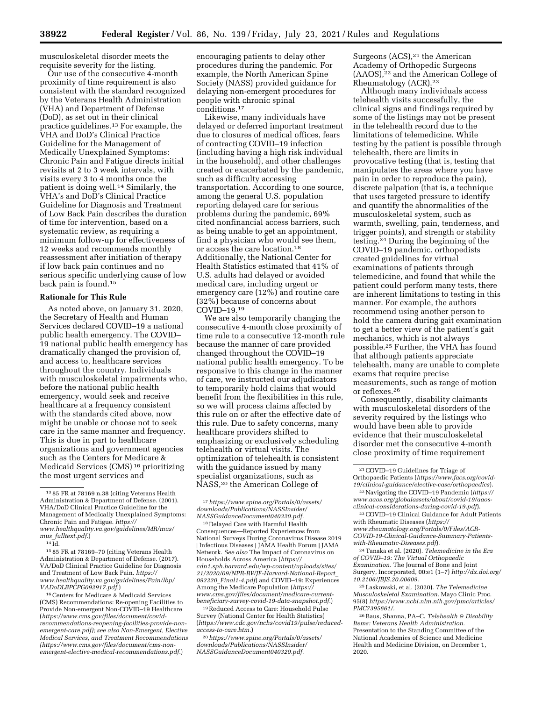musculoskeletal disorder meets the requisite severity for the listing.

Our use of the consecutive 4-month proximity of time requirement is also consistent with the standard recognized by the Veterans Health Administration (VHA) and Department of Defense (DoD), as set out in their clinical practice guidelines.13 For example, the VHA and DoD's Clinical Practice Guideline for the Management of Medically Unexplained Symptoms: Chronic Pain and Fatigue directs initial revisits at 2 to 3 week intervals, with visits every 3 to 4 months once the patient is doing well.14 Similarly, the VHA's and DoD's Clinical Practice Guideline for Diagnosis and Treatment of Low Back Pain describes the duration of time for intervention, based on a systematic review, as requiring a minimum follow-up for effectiveness of 12 weeks and recommends monthly reassessment after initiation of therapy if low back pain continues and no serious specific underlying cause of low back pain is found.15

### **Rationale for This Rule**

As noted above, on January 31, 2020, the Secretary of Health and Human Services declared COVID–19 a national public health emergency. The COVID– 19 national public health emergency has dramatically changed the provision of, and access to, healthcare services throughout the country. Individuals with musculoskeletal impairments who, before the national public health emergency, would seek and receive healthcare at a frequency consistent with the standards cited above, now might be unable or choose not to seek care in the same manner and frequency. This is due in part to healthcare organizations and government agencies such as the Centers for Medicare & Medicaid Services (CMS) 16 prioritizing the most urgent services and

14 Id.

15 85 FR at 78169–70 (citing Veterans Health Administration & Department of Defense. (2017). VA/DoD Clinical Practice Guideline for Diagnosis and Treatment of Low Back Pain. *[https://](https://www.healthquality.va.gov/guidelines/Pain/lbp/VADoDLBPCPG092917.pdf) [www.healthquality.va.gov/guidelines/Pain/lbp/](https://www.healthquality.va.gov/guidelines/Pain/lbp/VADoDLBPCPG092917.pdf) [VADoDLBPCPG092917.pdf.](https://www.healthquality.va.gov/guidelines/Pain/lbp/VADoDLBPCPG092917.pdf)*)

16Centers for Medicare & Medicaid Services (CMS) Recommendations: Re-opening Facilities to Provide Non-emergent Non-COVID–19 Healthcare (*[https://www.cms.gov/files/document/covid](https://www.cms.gov/files/document/covid-recommendations-reopening-facilities-provide-nonemergent-care.pdf)[recommendations-reopening-facilities-provide-non](https://www.cms.gov/files/document/covid-recommendations-reopening-facilities-provide-nonemergent-care.pdf)[emergent-care.pdf\)](https://www.cms.gov/files/document/covid-recommendations-reopening-facilities-provide-nonemergent-care.pdf); see also Non-Emergent, Elective Medical Services, and Treatment Recommendations [\(https://www.cms.gov/files/document/cms-non](https://www.cms.gov/files/document/cms-non-emergent-elective-medical-recommendations.pdf)[emergent-elective-medical-recommendations.pdf.](https://www.cms.gov/files/document/cms-non-emergent-elective-medical-recommendations.pdf)*)

encouraging patients to delay other procedures during the pandemic. For example, the North American Spine Society (NASS) provided guidance for delaying non-emergent procedures for people with chronic spinal conditions.17

Likewise, many individuals have delayed or deferred important treatment due to closures of medical offices, fears of contracting COVID–19 infection (including having a high risk individual in the household), and other challenges created or exacerbated by the pandemic, such as difficulty accessing transportation. According to one source, among the general U.S. population reporting delayed care for serious problems during the pandemic, 69% cited nonfinancial access barriers, such as being unable to get an appointment, find a physician who would see them, or access the care location.18 Additionally, the National Center for Health Statistics estimated that 41% of U.S. adults had delayed or avoided medical care, including urgent or emergency care (12%) and routine care (32%) because of concerns about COVID–19.19

We are also temporarily changing the consecutive 4-month close proximity of time rule to a consecutive 12-month rule because the manner of care provided changed throughout the COVID–19 national public health emergency. To be responsive to this change in the manner of care, we instructed our adjudicators to temporarily hold claims that would benefit from the flexibilities in this rule, so we will process claims affected by this rule on or after the effective date of this rule. Due to safety concerns, many healthcare providers shifted to emphasizing or exclusively scheduling telehealth or virtual visits. The optimization of telehealth is consistent with the guidance issued by many specialist organizations, such as NASS,20 the American College of

19Reduced Access to Care: Household Pulse Survey (National Center for Health Statistics) (*[https://www.cdc.gov/nchs/covid19/pulse/reduced](https://www.cdc.gov/nchs/covid19/pulse/reduced-access-to-care.htm)[access-to-care.htm.](https://www.cdc.gov/nchs/covid19/pulse/reduced-access-to-care.htm)*)

20*[https://www.spine.org/Portals/0/assets/](https://www.spine.org/Portals/0/assets/downloads/Publications/NASSInsider/NASSGuidanceDocument040320.pdf)  [downloads/Publications/NASSInsider/](https://www.spine.org/Portals/0/assets/downloads/Publications/NASSInsider/NASSGuidanceDocument040320.pdf) [NASSGuidanceDocument040320.pdf.](https://www.spine.org/Portals/0/assets/downloads/Publications/NASSInsider/NASSGuidanceDocument040320.pdf)* 

Surgeons (ACS),<sup>21</sup> the American Academy of Orthopedic Surgeons (AAOS),22 and the American College of Rheumatology (ACR).23

Although many individuals access telehealth visits successfully, the clinical signs and findings required by some of the listings may not be present in the telehealth record due to the limitations of telemedicine. While testing by the patient is possible through telehealth, there are limits in provocative testing (that is, testing that manipulates the areas where you have pain in order to reproduce the pain), discrete palpation (that is, a technique that uses targeted pressure to identify and quantify the abnormalities of the musculoskeletal system, such as warmth, swelling, pain, tenderness, and trigger points), and strength or stability testing.24 During the beginning of the COVID–19 pandemic, orthopedists created guidelines for virtual examinations of patients through telemedicine, and found that while the patient could perform many tests, there are inherent limitations to testing in this manner. For example, the authors recommend using another person to hold the camera during gait examination to get a better view of the patient's gait mechanics, which is not always possible.25 Further, the VHA has found that although patients appreciate telehealth, many are unable to complete exams that require precise measurements, such as range of motion or reflexes.26

Consequently, disability claimants with musculoskeletal disorders of the severity required by the listings who would have been able to provide evidence that their musculoskeletal disorder met the consecutive 4-month close proximity of time requirement

23COVID–19 Clinical Guidance for Adult Patients with Rheumatic Diseases (*[https://](https://www.rheumatology.org/Portals/0/Files/ACR-COVID-19-Clinical-Guidance-Summary-Patients-with-Rheumatic-Diseases.pdf) [www.rheumatology.org/Portals/0/Files/ACR-](https://www.rheumatology.org/Portals/0/Files/ACR-COVID-19-Clinical-Guidance-Summary-Patients-with-Rheumatic-Diseases.pdf)[COVID-19-Clinical-Guidance-Summary-Patients](https://www.rheumatology.org/Portals/0/Files/ACR-COVID-19-Clinical-Guidance-Summary-Patients-with-Rheumatic-Diseases.pdf)[with-Rheumatic-Diseases.pdf](https://www.rheumatology.org/Portals/0/Files/ACR-COVID-19-Clinical-Guidance-Summary-Patients-with-Rheumatic-Diseases.pdf)*).

24Tanaka et al. (2020). *Telemedicine in the Era of COVID–19: The Virtual Orthopaedic Examination.* The Journal of Bone and Joint Surgery, Incorporated, 00:e1 (1–7) *[http://dx.doi.org/](http://dx.doi.org/10.2106/JBJS.20.00609) [10.2106/JBJS.20.00609.](http://dx.doi.org/10.2106/JBJS.20.00609)* 

25Laskowski, et al. (2020). *The Telemedicine Musculoskeletal Examination.* Mayo Clinic Proc. 95(8) *[https://www.ncbi.nlm.nih.gov/pmc/articles/](https://www.ncbi.nlm.nih.gov/pmc/articles/PMC7395661/)  [PMC7395661/.](https://www.ncbi.nlm.nih.gov/pmc/articles/PMC7395661/)* 

26Baus, Shanna, PA–C. *Telehealth & Disability Items: Veterans Health Administration.*  Presentation to the Standing Committee of the National Academies of Science and Medicine Health and Medicine Division, on December 1, 2020.

<sup>13</sup> 85 FR at 78169 n.38 (citing Veterans Health Administration & Department of Defense. (2001). VHA/DoD Clinical Practice Guideline for the Management of Medically Unexplained Symptoms: Chronic Pain and Fatigue. *[https://](https://www.healthquality.va.gov/guidelines/MR/mus/mus_fulltext.pdf) [www.healthquality.va.gov/guidelines/MR/mus/](https://www.healthquality.va.gov/guidelines/MR/mus/mus_fulltext.pdf)  mus*\_*[fulltext.pdf.](https://www.healthquality.va.gov/guidelines/MR/mus/mus_fulltext.pdf)*)

<sup>17</sup>*[https://www.spine.org/Portals/0/assets/](https://www.spine.org/Portals/0/assets/downloads/Publications/NASSInsider/NASSGuidanceDocument040320.pdf)  [downloads/Publications/NASSInsider/](https://www.spine.org/Portals/0/assets/downloads/Publications/NASSInsider/NASSGuidanceDocument040320.pdf) [NASSGuidanceDocument040320.pdf.](https://www.spine.org/Portals/0/assets/downloads/Publications/NASSInsider/NASSGuidanceDocument040320.pdf)* 

<sup>18</sup> Delayed Care with Harmful Health Consequences—Reported Experiences from National Surveys During Coronavirus Disease 2019 | Infectious Diseases | JAMA Health Forum | JAMA Network. *See also* The Impact of Coronavirus on Households Across America (*[https://](https://cdn1.sph.harvard.edu/wp-content/uploads/sites/21/2020/09/NPR-RWJF-Harvard-National-Report_092220_Final1-4.pdf) [cdn1.sph.harvard.edu/wp-content/uploads/sites/](https://cdn1.sph.harvard.edu/wp-content/uploads/sites/21/2020/09/NPR-RWJF-Harvard-National-Report_092220_Final1-4.pdf) [21/2020/09/NPR-RWJF-Harvard-National-Report](https://cdn1.sph.harvard.edu/wp-content/uploads/sites/21/2020/09/NPR-RWJF-Harvard-National-Report_092220_Final1-4.pdf)*\_ *092220*\_*[Final1-4.pdf](https://cdn1.sph.harvard.edu/wp-content/uploads/sites/21/2020/09/NPR-RWJF-Harvard-National-Report_092220_Final1-4.pdf)*) and COVID–19: Experiences Among the Medicare Population (*[https://](https://www.cms.gov/files/document/medicare-current-beneficiary-survey-covid-19-data-snapshot.pdf) [www.cms.gov/files/document/medicare-current](https://www.cms.gov/files/document/medicare-current-beneficiary-survey-covid-19-data-snapshot.pdf)[beneficiary-survey-covid-19-data-snapshot.pdf.](https://www.cms.gov/files/document/medicare-current-beneficiary-survey-covid-19-data-snapshot.pdf)*)

<sup>21</sup>COVID–19 Guidelines for Triage of Orthopaedic Patients (*[https://www.facs.org/covid-](https://www.facs.org/covid-19/clinical-guidance/elective-case/orthopaedics)[19/clinical-guidance/elective-case/orthopaedics](https://www.facs.org/covid-19/clinical-guidance/elective-case/orthopaedics)*).

<sup>22</sup>Navigating the COVID–19 Pandemic (*[https://](https://www.aaos.org/globalassets/about/covid-19/aaos-clinical-considerations-during-covid-19.pdf) [www.aaos.org/globalassets/about/covid-19/aaos](https://www.aaos.org/globalassets/about/covid-19/aaos-clinical-considerations-during-covid-19.pdf)[clinical-considerations-during-covid-19.pdf](https://www.aaos.org/globalassets/about/covid-19/aaos-clinical-considerations-during-covid-19.pdf)*).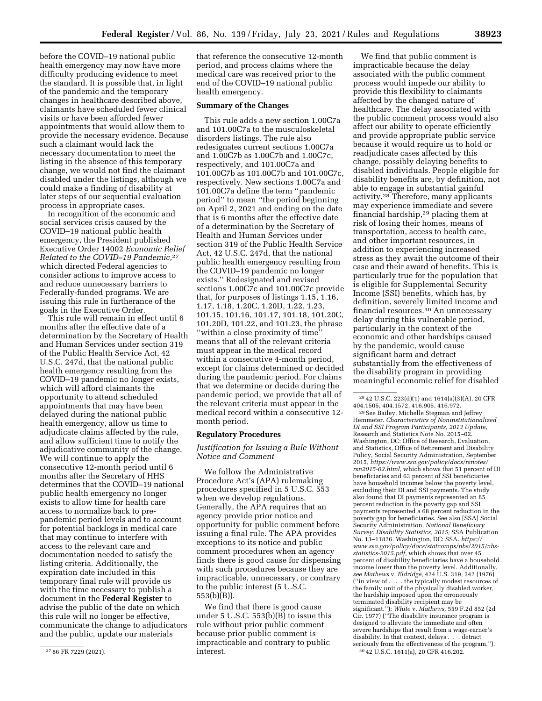before the COVID–19 national public health emergency may now have more difficulty producing evidence to meet the standard. It is possible that, in light of the pandemic and the temporary changes in healthcare described above, claimants have scheduled fewer clinical visits or have been afforded fewer appointments that would allow them to provide the necessary evidence. Because such a claimant would lack the necessary documentation to meet the listing in the absence of this temporary change, we would not find the claimant disabled under the listings, although we could make a finding of disability at later steps of our sequential evaluation process in appropriate cases.

In recognition of the economic and social services crisis caused by the COVID–19 national public health emergency, the President published Executive Order 14002 *Economic Relief Related to the COVID–19 Pandemic,*27 which directed Federal agencies to consider actions to improve access to and reduce unnecessary barriers to Federally-funded programs. We are issuing this rule in furtherance of the goals in the Executive Order.

This rule will remain in effect until 6 months after the effective date of a determination by the Secretary of Health and Human Services under section 319 of the Public Health Service Act, 42 U.S.C. 247d, that the national public health emergency resulting from the COVID–19 pandemic no longer exists, which will afford claimants the opportunity to attend scheduled appointments that may have been delayed during the national public health emergency, allow us time to adjudicate claims affected by the rule, and allow sufficient time to notify the adjudicative community of the change. We will continue to apply the consecutive 12-month period until 6 months after the Secretary of HHS determines that the COVID–19 national public health emergency no longer exists to allow time for health care access to normalize back to prepandemic period levels and to account for potential backlogs in medical care that may continue to interfere with access to the relevant care and documentation needed to satisfy the listing criteria. Additionally, the expiration date included in this temporary final rule will provide us with the time necessary to publish a document in the **Federal Register** to advise the public of the date on which this rule will no longer be effective, communicate the change to adjudicators and the public, update our materials

that reference the consecutive 12-month period, and process claims where the medical care was received prior to the end of the COVID–19 national public health emergency.

### **Summary of the Changes**

This rule adds a new section 1.00C7a and 101.00C7a to the musculoskeletal disorders listings. The rule also redesignates current sections 1.00C7a and 1.00C7b as 1.00C7b and 1.00C7c, respectively, and 101.00C7a and 101.00C7b as 101.00C7b and 101.00C7c, respectively. New sections 1.00C7a and 101.00C7a define the term ''pandemic period'' to mean ''the period beginning on April 2, 2021 and ending on the date that is 6 months after the effective date of a determination by the Secretary of Health and Human Services under section 319 of the Public Health Service Act, 42 U.S.C. 247d, that the national public health emergency resulting from the COVID–19 pandemic no longer exists.'' Redesignated and revised sections 1.00C7c and 101.00C7c provide that, for purposes of listings 1.15, 1.16, 1.17, 1.18, 1.20C, 1.20D, 1.22, 1.23, 101.15, 101.16, 101.17, 101.18, 101.20C, 101.20D, 101.22, and 101.23, the phrase ''within a close proximity of time'' means that all of the relevant criteria must appear in the medical record within a consecutive 4-month period, except for claims determined or decided during the pandemic period. For claims that we determine or decide during the pandemic period, we provide that all of the relevant criteria must appear in the medical record within a consecutive 12 month period.

#### **Regulatory Procedures**

*Justification for Issuing a Rule Without Notice and Comment* 

We follow the Administrative Procedure Act's (APA) rulemaking procedures specified in 5 U.S.C. 553 when we develop regulations. Generally, the APA requires that an agency provide prior notice and opportunity for public comment before issuing a final rule. The APA provides exceptions to its notice and public comment procedures when an agency finds there is good cause for dispensing with such procedures because they are impracticable, unnecessary, or contrary to the public interest (5 U.S.C. 553(b)(B)).

We find that there is good cause under 5 U.S.C. 553(b)(B) to issue this rule without prior public comment because prior public comment is impracticable and contrary to public interest.

We find that public comment is impracticable because the delay associated with the public comment process would impede our ability to provide this flexibility to claimants affected by the changed nature of healthcare. The delay associated with the public comment process would also affect our ability to operate efficiently and provide appropriate public service because it would require us to hold or readjudicate cases affected by this change, possibly delaying benefits to disabled individuals. People eligible for disability benefits are, by definition, not able to engage in substantial gainful activity.28 Therefore, many applicants may experience immediate and severe financial hardship,29 placing them at risk of losing their homes, means of transportation, access to health care, and other important resources, in addition to experiencing increased stress as they await the outcome of their case and their award of benefits. This is particularly true for the population that is eligible for Supplemental Security Income (SSI) benefits, which has, by definition, severely limited income and financial resources.30 An unnecessary delay during this vulnerable period, particularly in the context of the economic and other hardships caused by the pandemic, would cause significant harm and detract substantially from the effectiveness of the disability program in providing meaningful economic relief for disabled

Hemmeter. *Characteristics of Noninstitutionalized DI and SSI Program Participants, 2013 Update,*  Research and Statistics Note No. 2015–02. Washington, DC: Office of Research, Evaluation, and Statistics, Office of Retirement and Disability Policy, Social Security Administration, September 2015, *[https://www.ssa.gov/policy/docs/rsnotes/](https://www.ssa.gov/policy/docs/rsnotes/rsn2015-02.html) [rsn2015-02.html,](https://www.ssa.gov/policy/docs/rsnotes/rsn2015-02.html)* which shows that 51 percent of DI beneficiaries and 63 percent of SSI beneficiaries have household incomes below the poverty level, excluding their DI and SSI payments. The study also found that DI payments represented an 85 percent reduction in the poverty gap and SSI payments represented a 68 percent reduction in the poverty gap for beneficiaries. See also [SSA] Social Security Administration, *National Beneficiary Survey: Disability Statistics, 2015,* SSA Publication No. 13–11826. Washington, DC: SSA. *[https://](https://www.ssa.gov/policy/docs/statcomps/nbs/2015/nbs-statistics-2015.pdf) [www.ssa.gov/policy/docs/statcomps/nbs/2015/nbs](https://www.ssa.gov/policy/docs/statcomps/nbs/2015/nbs-statistics-2015.pdf)[statistics-2015.pdf,](https://www.ssa.gov/policy/docs/statcomps/nbs/2015/nbs-statistics-2015.pdf)* which shows that over 45 percent of disability beneficiaries have a household income lower than the poverty level. Additionally, *see Mathews* v. *Eldridge,* 424 U.S. 319, 342 (1976) (''in view of . . . the typically modest resources of the family unit of the physically disabled worker, the hardship imposed upon the erroneously terminated disability recipient may be significant.''); *White* v. *Mathews,* 559 F.2d 852 (2d Cir. 1977) (''The disability insurance program is designed to alleviate the immediate and often severe hardships that result from a wage-earner's disability. In that context, delays . . . detract<br>seriously from the effectiveness of the program."). <sup>30</sup> 42 U.S.C. 1611(a), 20 CFR 416.202.

<sup>27</sup> 86 FR 7229 (2021).

<sup>28</sup> 42 U.S.C. 223(d)(1) and 1614(a)(3)(A), 20 CFR 404.1505, 404.1572, 416.905, 416.972. 29See Bailey, Michelle Stegman and Jeffrey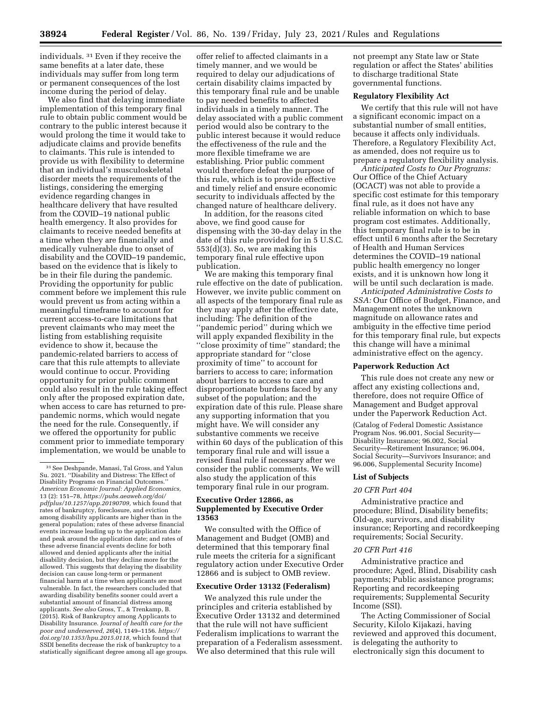individuals. 31 Even if they receive the same benefits at a later date, these individuals may suffer from long term

or permanent consequences of the lost

income during the period of delay. We also find that delaying immediate implementation of this temporary final rule to obtain public comment would be contrary to the public interest because it would prolong the time it would take to adjudicate claims and provide benefits to claimants. This rule is intended to provide us with flexibility to determine that an individual's musculoskeletal disorder meets the requirements of the listings, considering the emerging evidence regarding changes in healthcare delivery that have resulted from the COVID–19 national public health emergency. It also provides for claimants to receive needed benefits at a time when they are financially and medically vulnerable due to onset of disability and the COVID–19 pandemic, based on the evidence that is likely to be in their file during the pandemic. Providing the opportunity for public comment before we implement this rule would prevent us from acting within a meaningful timeframe to account for current access-to-care limitations that prevent claimants who may meet the listing from establishing requisite evidence to show it, because the pandemic-related barriers to access of care that this rule attempts to alleviate would continue to occur. Providing opportunity for prior public comment could also result in the rule taking effect only after the proposed expiration date, when access to care has returned to prepandemic norms, which would negate the need for the rule. Consequently, if we offered the opportunity for public comment prior to immediate temporary implementation, we would be unable to

offer relief to affected claimants in a timely manner, and we would be required to delay our adjudications of certain disability claims impacted by this temporary final rule and be unable to pay needed benefits to affected individuals in a timely manner. The delay associated with a public comment period would also be contrary to the public interest because it would reduce the effectiveness of the rule and the more flexible timeframe we are establishing. Prior public comment would therefore defeat the purpose of this rule, which is to provide effective and timely relief and ensure economic security to individuals affected by the changed nature of healthcare delivery.

In addition, for the reasons cited above, we find good cause for dispensing with the 30-day delay in the date of this rule provided for in 5 U.S.C. 553(d)(3). So, we are making this temporary final rule effective upon publication.

We are making this temporary final rule effective on the date of publication. However, we invite public comment on all aspects of the temporary final rule as they may apply after the effective date, including: The definition of the ''pandemic period'' during which we will apply expanded flexibility in the ''close proximity of time'' standard; the appropriate standard for ''close proximity of time'' to account for barriers to access to care; information about barriers to access to care and disproportionate burdens faced by any subset of the population; and the expiration date of this rule. Please share any supporting information that you might have. We will consider any substantive comments we receive within 60 days of the publication of this temporary final rule and will issue a revised final rule if necessary after we consider the public comments. We will also study the application of this temporary final rule in our program.

## **Executive Order 12866, as Supplemented by Executive Order 13563**

We consulted with the Office of Management and Budget (OMB) and determined that this temporary final rule meets the criteria for a significant regulatory action under Executive Order 12866 and is subject to OMB review.

## **Executive Order 13132 (Federalism)**

We analyzed this rule under the principles and criteria established by Executive Order 13132 and determined that the rule will not have sufficient Federalism implications to warrant the preparation of a Federalism assessment. We also determined that this rule will

not preempt any State law or State regulation or affect the States' abilities to discharge traditional State governmental functions.

### **Regulatory Flexibility Act**

We certify that this rule will not have a significant economic impact on a substantial number of small entities, because it affects only individuals. Therefore, a Regulatory Flexibility Act, as amended, does not require us to prepare a regulatory flexibility analysis.

*Anticipated Costs to Our Programs:*  Our Office of the Chief Actuary (OCACT) was not able to provide a specific cost estimate for this temporary final rule, as it does not have any reliable information on which to base program cost estimates. Additionally, this temporary final rule is to be in effect until 6 months after the Secretary of Health and Human Services determines the COVID–19 national public health emergency no longer exists, and it is unknown how long it will be until such declaration is made.

*Anticipated Administrative Costs to SSA:* Our Office of Budget, Finance, and Management notes the unknown magnitude on allowance rates and ambiguity in the effective time period for this temporary final rule, but expects this change will have a minimal administrative effect on the agency.

## **Paperwork Reduction Act**

This rule does not create any new or affect any existing collections and, therefore, does not require Office of Management and Budget approval under the Paperwork Reduction Act.

(Catalog of Federal Domestic Assistance Program Nos. 96.001, Social Security— Disability Insurance; 96.002, Social Security—Retirement Insurance; 96.004, Social Security—Survivors Insurance; and 96.006, Supplemental Security Income)

#### **List of Subjects**

#### *20 CFR Part 404*

Administrative practice and procedure; Blind, Disability benefits; Old-age, survivors, and disability insurance; Reporting and recordkeeping requirements; Social Security.

## *20 CFR Part 416*

Administrative practice and procedure; Aged, Blind, Disability cash payments; Public assistance programs; Reporting and recordkeeping requirements; Supplemental Security Income (SSI).

The Acting Commissioner of Social Security, Kilolo Kijakazi, having reviewed and approved this document, is delegating the authority to electronically sign this document to

<sup>31</sup>See Deshpande, Manasi, Tal Gross, and Yalun Su. 2021. ''Disability and Distress: The Effect of Disability Programs on Financial Outcomes. *American Economic Journal: Applied Economics,*  13 (2): 151–78, *[https://pubs.aeaweb.org/doi/](https://pubs.aeaweb.org/doi/pdfplus/10.1257/app.20190709) [pdfplus/10.1257/app.20190709,](https://pubs.aeaweb.org/doi/pdfplus/10.1257/app.20190709)* which found that rates of bankruptcy, foreclosure, and eviction among disability applicants are higher than in the general population; rates of these adverse financial events increase leading up to the application date and peak around the application date; and rates of these adverse financial events decline for both allowed and denied applicants after the initial disability decision, but they decline more for the allowed. This suggests that delaying the disability decision can cause long-term or permanent financial harm at a time when applicants are most vulnerable. In fact, the researchers concluded that awarding disability benefits sooner could avert a substantial amount of financial distress among applicants. *See also* Gross, T., & Trenkamp, B. (2015). Risk of Bankruptcy among Applicants to Disability Insurance. *Journal of health care for the poor and underserved, 26*(4), 1149–1156. *[https://](https://doi.org/10.1353/hpu.2015.0118) [doi.org/10.1353/hpu.2015.0118,](https://doi.org/10.1353/hpu.2015.0118)* which found that SSDI benefits decrease the risk of bankruptcy to a statistically significant degree among all age groups.